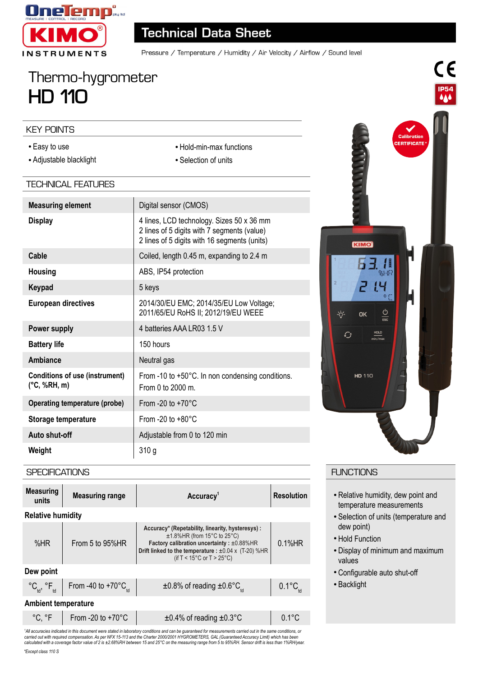

# **Technical Data Sheet**

Pressure / Temperature / Humidity / Air Velocity / Airflow / Sound level

# Thermo-hygrometer **HD 110**

#### KEY POINTS

- Easy to use
- Adjustable blacklight

# • Hold-min-max functions

• Selection of units

# TECHNICAL FEATURES

| <b>Measuring element</b>                                        | Digital sensor (CMOS)                                                                                                                    |  |
|-----------------------------------------------------------------|------------------------------------------------------------------------------------------------------------------------------------------|--|
| <b>Display</b>                                                  | 4 lines, LCD technology. Sizes 50 x 36 mm<br>2 lines of 5 digits with 7 segments (value)<br>2 lines of 5 digits with 16 segments (units) |  |
| Cable                                                           | Coiled, length 0.45 m, expanding to 2.4 m                                                                                                |  |
| <b>Housing</b>                                                  | ABS, IP54 protection                                                                                                                     |  |
| Keypad                                                          | 5 keys                                                                                                                                   |  |
| <b>European directives</b>                                      | 2014/30/EU EMC; 2014/35/EU Low Voltage;<br>2011/65/EU RoHS II; 2012/19/EU WEEE                                                           |  |
| Power supply                                                    | 4 batteries AAA LR03 1.5 V                                                                                                               |  |
| <b>Battery life</b>                                             | 150 hours                                                                                                                                |  |
| Ambiance                                                        | Neutral gas                                                                                                                              |  |
| <b>Conditions of use (instrument)</b><br>$(^{\circ}C, \%RH, m)$ | From -10 to +50°C. In non condensing conditions.<br>From 0 to $2000$ m.                                                                  |  |
| <b>Operating temperature (probe)</b>                            | From -20 to $+70^{\circ}$ C                                                                                                              |  |
| Storage temperature                                             | From -20 to $+80^{\circ}$ C                                                                                                              |  |
| Auto shut-off                                                   | Adjustable from 0 to 120 min                                                                                                             |  |
| Weight                                                          | 310 <sub>g</sub>                                                                                                                         |  |



CE

**IP54** 

### **SPECIFICATIONS**

| <b>Measuring</b><br>units  | <b>Measuring range</b>                                              | Accuracy <sup>1</sup>                                                                                                                                                                                                                                      | <b>Resolution</b>              |  |
|----------------------------|---------------------------------------------------------------------|------------------------------------------------------------------------------------------------------------------------------------------------------------------------------------------------------------------------------------------------------------|--------------------------------|--|
| <b>Relative humidity</b>   |                                                                     |                                                                                                                                                                                                                                                            |                                |  |
| % $HR$                     | From 5 to $95\%$ HR                                                 | Accuracy* (Repetability, linearity, hysteresys):<br>$±1.8\%$ HR (from 15 $°C$ to 25 $°C$ )<br>Factory calibration uncertainty: ±0.88%HR<br>Drift linked to the temperature : $\pm 0.04 \times (T-20)$ %HR<br>(if T < $15^{\circ}$ C or T > $25^{\circ}$ C) | $0.1%$ HR                      |  |
| Dew point                  |                                                                     |                                                                                                                                                                                                                                                            |                                |  |
|                            | °C <sub>td</sub> , °F <sub>td</sub> From -40 to +70°C <sub>td</sub> | $\pm 0.8\%$ of reading $\pm 0.6^{\circ}C_{H}$                                                                                                                                                                                                              | $0.1^{\circ}C_{_{\text{tot}}}$ |  |
| <b>Ambient temperature</b> |                                                                     |                                                                                                                                                                                                                                                            |                                |  |
| °C. °F                     | From -20 to $+70^{\circ}$ C                                         | $\pm 0.4\%$ of reading $\pm 0.3\degree$ C                                                                                                                                                                                                                  | $0.1^{\circ}$ C                |  |

°C, °F From -20 to +70°C ±0.4% of reading ±0.3°C 0.1°C 'All accuracies indicated in this document were stated in laboratory conditions and can be guaranteed for measurements carried out in the same conditions, or<br>carried out with required compensation. As per NFX 15-113 and th *calculated with a coverage factor value of 2 is ±2.68%RH between 15 and 25°C on the measuring range from 5 to 95%RH. Sensor drift is less than 1%RH/year.*

## **FUNCTIONS**

- Relative humidity, dew point and temperature measurements
- Selection of units (temperature and dew point)
- Hold Function
- Display of minimum and maximum values
- Configurable auto shut-off
- Backlight